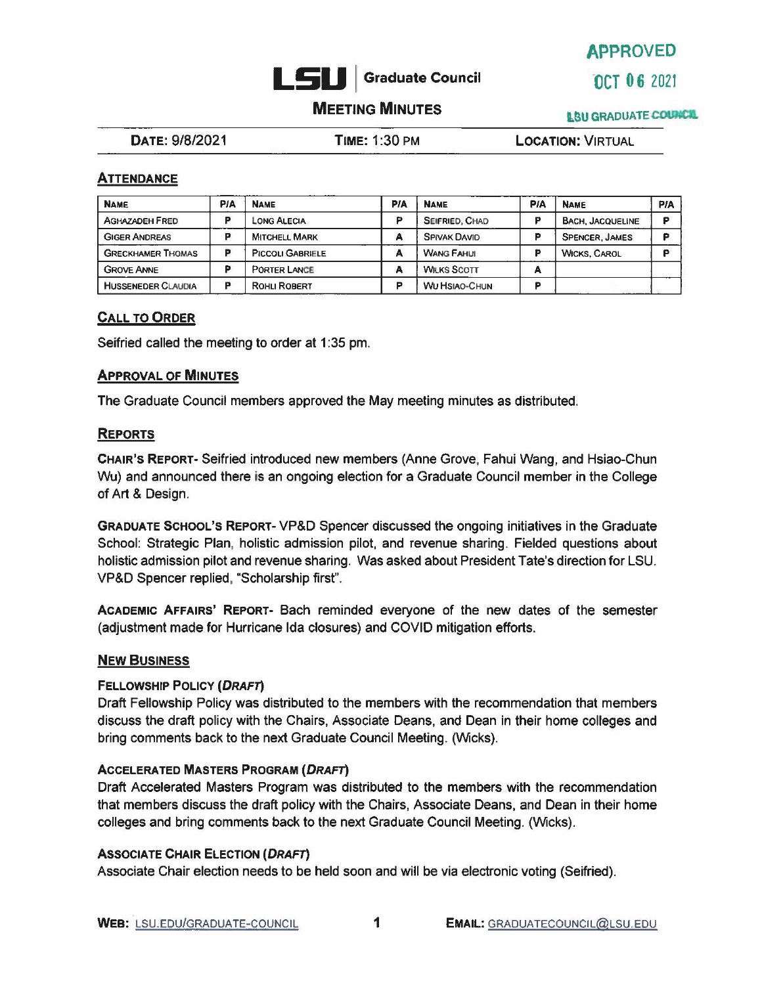

APPROVED

## **MEETING MINUTES INSURGADUATE COUNCIL**

DATE: 9/8/2021 **TIME:** 1 :30 PM **LOCATION:** VIRTUAL

## **ATTENDANCE**

| <b>NAME</b>               | PIA | <b>NAME</b>             | <b>PIA</b> | <b>NAME</b>          | <b>PIA</b> | <b>NAME</b>             | PIA |
|---------------------------|-----|-------------------------|------------|----------------------|------------|-------------------------|-----|
| <b>AGHAZADEH FRED</b>     |     | LONG ALECIA             | o          | SEIFRIED, CHAD       | o          | <b>BACH, JACQUELINE</b> |     |
| <b>GIGER ANDREAS</b>      |     | <b>MITCHELL MARK</b>    | А          | <b>SPIVAK DAVID</b>  |            | <b>SPENCER, JAMES</b>   |     |
| <b>GRECKHAMER THOMAS</b>  | в   | <b>PICCOLI GABRIELE</b> | А          | <b>WANG FAHUL</b>    | m          | <b>WICKS, CAROL</b>     |     |
| <b>GROVE ANNE</b>         |     | <b>PORTER LANCE</b>     | А          | <b>WILKS SCOTT</b>   | А          |                         |     |
| <b>HUSSENEDER CLAUDIA</b> | D   | <b>ROHLI ROBERT</b>     | Ð          | <b>WU HSIAO-CHUN</b> | m          |                         |     |

## **CALL TO ORDER**

Seifried called the meeting to order at 1:35 pm.

### **APPROVAL OF MINUTES**

The Graduate Council members approved the May meeting minutes as distributed.

### **REPORTS**

**CHAIR'S REPORT-** Seifried introduced new members (Anne Grove, Fahui Wang, and Hsiao-Chun Wu) and announced there is an ongoing election for a Graduate Council member in the College of Art & Design.

**GRADUATE** SCHOOL'S REPORT-VP&D Spencer discussed the ongoing initiatives in the Graduate School: Strategic Plan, holistic admission pilot. and revenue sharing. Fielded questions about holistic admission pilot and revenue sharing. Was asked about President Tate's direction for LSU. VP&D Spencer replied, "Scholarship first".

**ACADEMIC AFFAIRS' REPORT-** Bach reminded everyone of the new dates of the semester (adjustment made for Hurricane Ida closures) and COVID mitigation efforts.

### **NEW BUSINESS**

### **FELLOWSHIP POLICY (DRAFT)**

Draft Fellowship Policy was distributed to the members with the recommendation that members discuss the draft policy with the Chairs, Associate Deans, and Dean in their home colleges and bring comments back to the next Graduate Council Meeting. (Wicks).

### **ACCELERATED MASTERS PROGRAM (DRAFT)**

Draft Accelerated Masters Program was distributed to the members with the recommendation that members discuss the draft policy with the Chairs, Associate Deans, and Dean in their home colleges and bring comments back to the next Graduate Council Meeting. (Wicks).

## **ASSOCIATE CHAIR ELECTION (DRAFT)**

Associate Chair election needs to be held soon and will be via electronic voting (Seifried).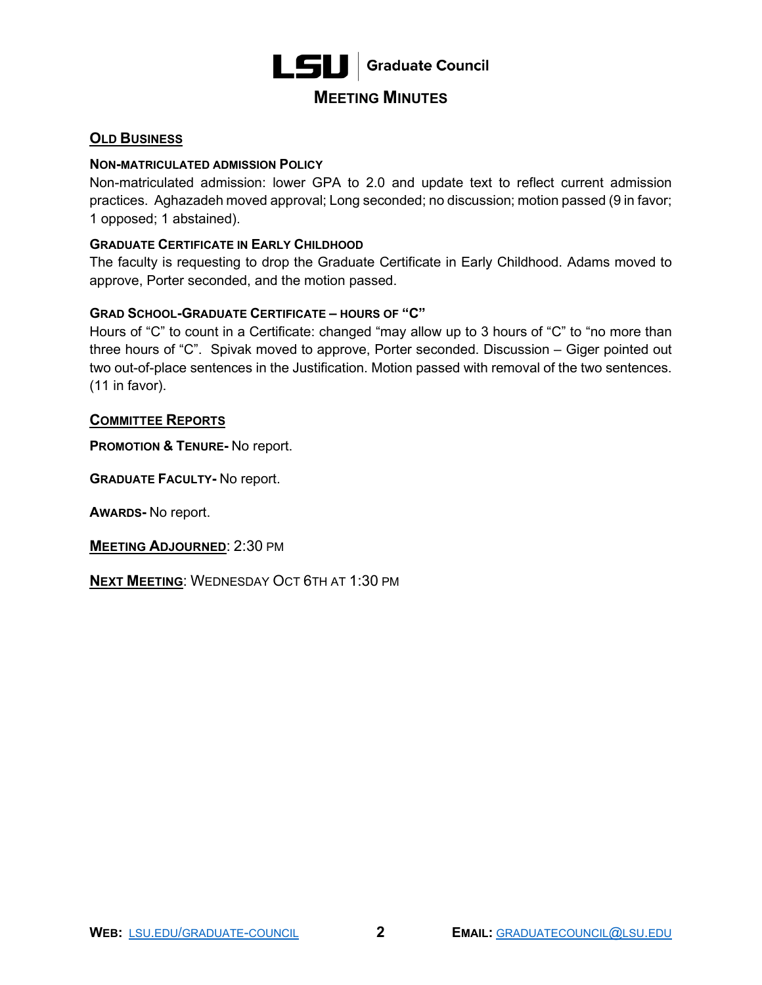

## **MEETING MINUTES**

## **OLD BUSINESS**

## **NON-MATRICULATED ADMISSION POLICY**

 Non-matriculated admission: lower GPA to 2.0 and update text to reflect current admission practices. Aghazadeh moved approval; Long seconded; no discussion; motion passed (9 in favor; 1 opposed; 1 abstained).

## **GRADUATE CERTIFICATE IN EARLY CHILDHOOD**

The faculty is requesting to drop the Graduate Certificate in Early Childhood. Adams moved to approve, Porter seconded, and the motion passed.

### **GRAD SCHOOL-GRADUATE CERTIFICATE – HOURS OF "C"**

 Hours of "C" to count in a Certificate: changed "may allow up to 3 hours of "C" to "no more than three hours of "C". Spivak moved to approve, Porter seconded. Discussion – Giger pointed out two out-of-place sentences in the Justification. Motion passed with removal of the two sentences. (11 in favor).

### **COMMITTEE REPORTS**

 **PROMOTION & TENURE-** No report.

**GRADUATE FACULTY-** No report.

**AWARDS-** No report.

**MEETING ADJOURNED**: 2:30 PM

**NEXT MEETING**: WEDNESDAY OCT 6TH AT 1:30 PM